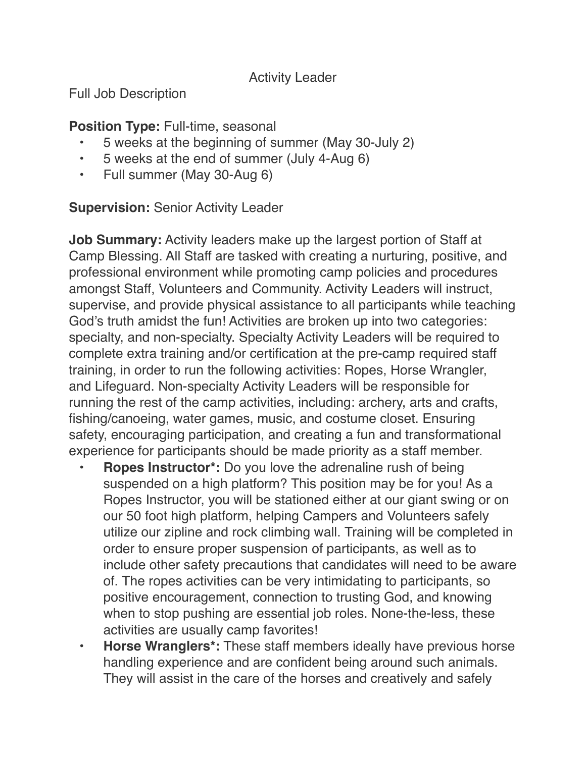#### Activity Leader

Full Job Description

#### **Position Type: Full-time, seasonal**

- 5 weeks at the beginning of summer (May 30-July 2)
- 5 weeks at the end of summer (July 4-Aug 6)
- Full summer (May 30-Aug 6)

## **Supervision:** Senior Activity Leader

**Job Summary:** Activity leaders make up the largest portion of Staff at Camp Blessing. All Staff are tasked with creating a nurturing, positive, and professional environment while promoting camp policies and procedures amongst Staff, Volunteers and Community. Activity Leaders will instruct, supervise, and provide physical assistance to all participants while teaching God's truth amidst the fun! Activities are broken up into two categories: specialty, and non-specialty. Specialty Activity Leaders will be required to complete extra training and/or certification at the pre-camp required staff training, in order to run the following activities: Ropes, Horse Wrangler, and Lifeguard. Non-specialty Activity Leaders will be responsible for running the rest of the camp activities, including: archery, arts and crafts, fishing/canoeing, water games, music, and costume closet. Ensuring safety, encouraging participation, and creating a fun and transformational experience for participants should be made priority as a staff member.

- **• Ropes Instructor\*:** Do you love the adrenaline rush of being suspended on a high platform? This position may be for you! As a Ropes Instructor, you will be stationed either at our giant swing or on our 50 foot high platform, helping Campers and Volunteers safely utilize our zipline and rock climbing wall. Training will be completed in order to ensure proper suspension of participants, as well as to include other safety precautions that candidates will need to be aware of. The ropes activities can be very intimidating to participants, so positive encouragement, connection to trusting God, and knowing when to stop pushing are essential job roles. None-the-less, these activities are usually camp favorites!
- **• Horse Wranglers\*:** These staff members ideally have previous horse handling experience and are confident being around such animals. They will assist in the care of the horses and creatively and safely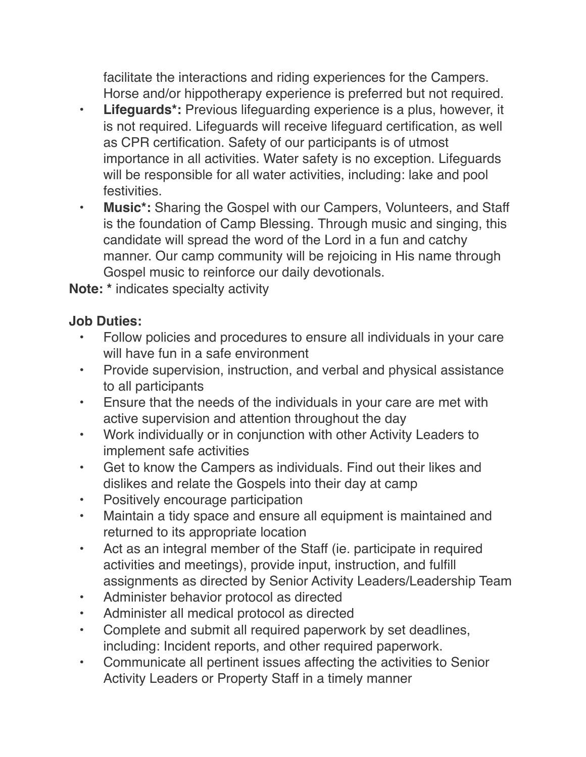facilitate the interactions and riding experiences for the Campers. Horse and/or hippotherapy experience is preferred but not required.

- **• Lifeguards\*:** Previous lifeguarding experience is a plus, however, it is not required. Lifeguards will receive lifeguard certification, as well as CPR certification. Safety of our participants is of utmost importance in all activities. Water safety is no exception. Lifeguards will be responsible for all water activities, including: lake and pool festivities.
- **• Music\*:** Sharing the Gospel with our Campers, Volunteers, and Staff is the foundation of Camp Blessing. Through music and singing, this candidate will spread the word of the Lord in a fun and catchy manner. Our camp community will be rejoicing in His name through Gospel music to reinforce our daily devotionals.

**Note: \*** indicates specialty activity

#### **Job Duties:**

- Follow policies and procedures to ensure all individuals in your care will have fun in a safe environment
- Provide supervision, instruction, and verbal and physical assistance to all participants
- Ensure that the needs of the individuals in your care are met with active supervision and attention throughout the day
- Work individually or in conjunction with other Activity Leaders to implement safe activities
- Get to know the Campers as individuals. Find out their likes and dislikes and relate the Gospels into their day at camp
- Positively encourage participation
- Maintain a tidy space and ensure all equipment is maintained and returned to its appropriate location
- Act as an integral member of the Staff (ie. participate in required activities and meetings), provide input, instruction, and fulfill assignments as directed by Senior Activity Leaders/Leadership Team
- Administer behavior protocol as directed
- Administer all medical protocol as directed
- Complete and submit all required paperwork by set deadlines, including: Incident reports, and other required paperwork.
- Communicate all pertinent issues affecting the activities to Senior Activity Leaders or Property Staff in a timely manner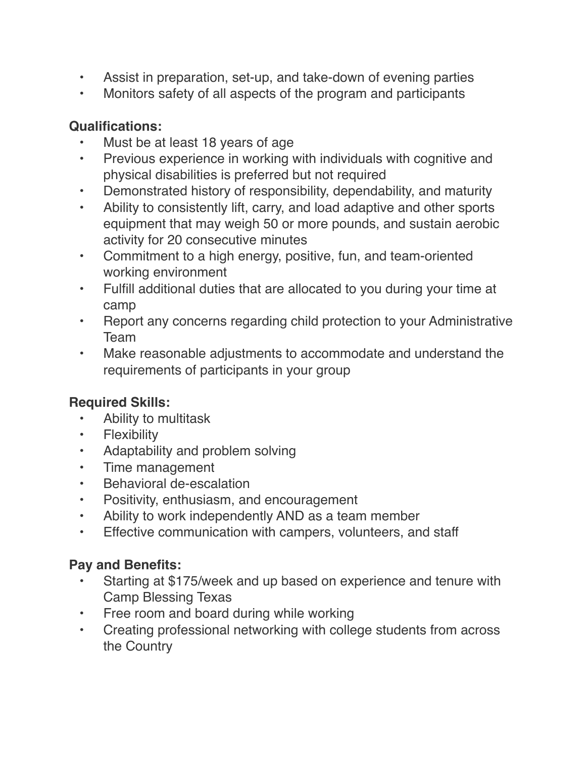- Assist in preparation, set-up, and take-down of evening parties
- Monitors safety of all aspects of the program and participants

## **Qualifications:**

- Must be at least 18 years of age
- Previous experience in working with individuals with cognitive and physical disabilities is preferred but not required
- Demonstrated history of responsibility, dependability, and maturity
- Ability to consistently lift, carry, and load adaptive and other sports equipment that may weigh 50 or more pounds, and sustain aerobic activity for 20 consecutive minutes
- Commitment to a high energy, positive, fun, and team-oriented working environment
- Fulfill additional duties that are allocated to you during your time at camp
- Report any concerns regarding child protection to your Administrative Team
- Make reasonable adjustments to accommodate and understand the requirements of participants in your group

# **Required Skills:**

- Ability to multitask
- **Flexibility**
- Adaptability and problem solving
- Time management
- Behavioral de-escalation
- Positivity, enthusiasm, and encouragement
- Ability to work independently AND as a team member
- Effective communication with campers, volunteers, and staff

# **Pay and Benefits:**

- Starting at \$175/week and up based on experience and tenure with Camp Blessing Texas
- Free room and board during while working
- Creating professional networking with college students from across the Country